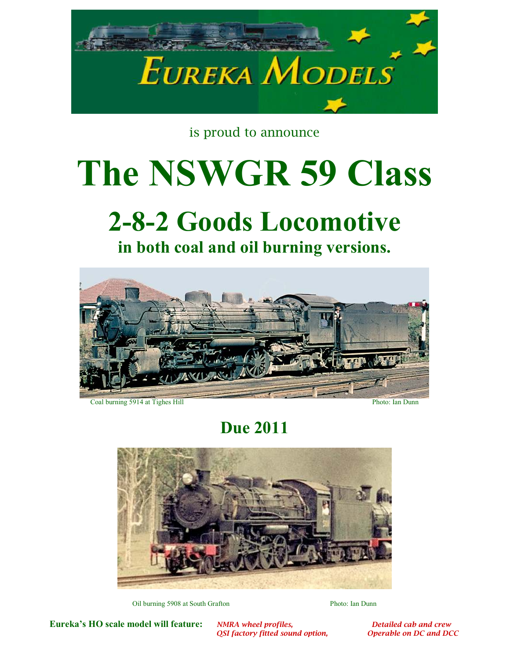

is proud to announce

## **The NSWGR 59 Class**

## **2-8-2 Goods Locomotive**





Coal burning 5914 at Tighes Hill Photo: Ian Dunn

**Due 2011** 



Oil burning 5908 at South Grafton Photo: Ian Dunn

**Eureka's HO scale model will feature:** *NMRA wheel profiles, Detailed cab and crew OSI factory fitted sound option, Detailed cab and DCC Derable on DC and DCC* 

*QSI factory fitted sound option,*